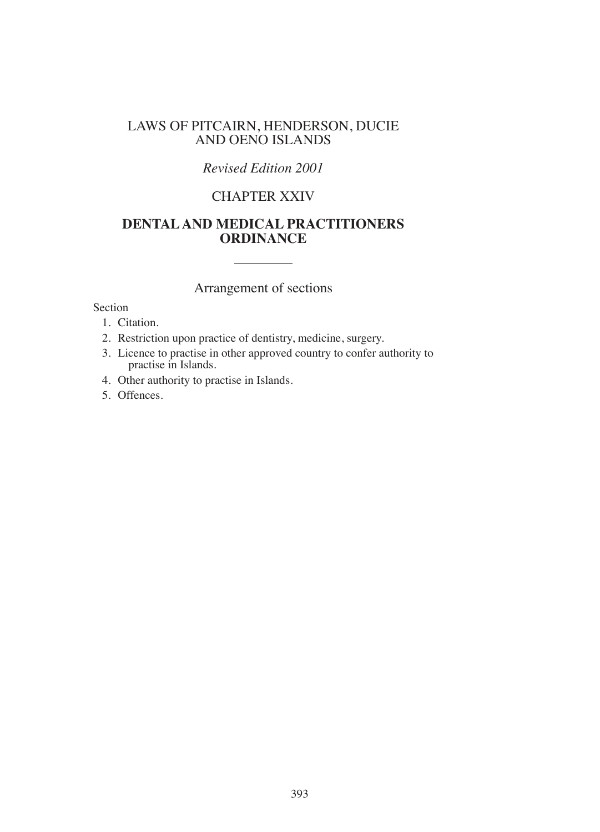## LAWS OF PITCAIRN, HENDERSON, DUCIE AND OENO ISLANDS

# *Revised Edition 2001*

# CHAPTER XXIV

# **DENTAL AND MEDICAL PRACTITIONERS ORDINANCE**

# Arrangement of sections

### Section

- 1. Citation.
- 2. Restriction upon practice of dentistry, medicine, surgery.
- 3. Licence to practise in other approved country to confer authority to practise in Islands.
- 4. Other authority to practise in Islands.
- 5. Offences.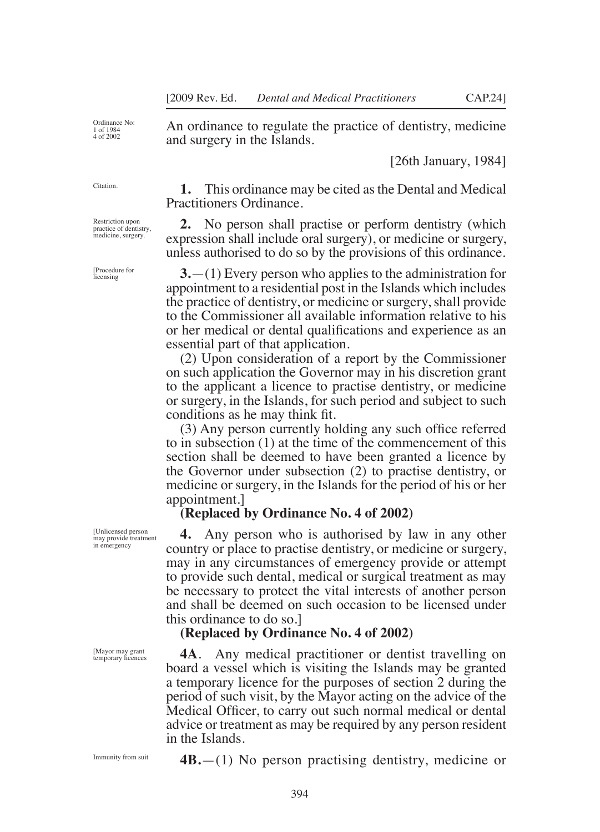Ordinance No: 1 of 1984 4 of 2002

An ordinance to regulate the practice of dentistry, medicine and surgery in the Islands.

[26th January, 1984]

**1.** This ordinance may be cited as the Dental and Medical Practitioners Ordinance.

**2.** No person shall practise or perform dentistry (which expression shall include oral surgery), or medicine or surgery, unless authorised to do so by the provisions of this ordinance.

**3.**—(1) Every person who applies to the administration for appointment to a residential post in the Islands which includes the practice of dentistry, or medicine or surgery, shall provide to the Commissioner all available information relative to his or her medical or dental qualifications and experience as an essential part of that application.

(2) Upon consideration of a report by the Commissioner on such application the Governor may in his discretion grant to the applicant a licence to practise dentistry, or medicine or surgery, in the Islands, for such period and subject to such conditions as he may think fit.

(3) Any person currently holding any such ofice referred to in subsection (1) at the time of the commencement of this section shall be deemed to have been granted a licence by the Governor under subsection (2) to practise dentistry, or medicine or surgery, in the Islands for the period of his or her appointment.]

### **(Replaced by Ordinance No. 4 of 2002)**

**4.** Any person who is authorised by law in any other country or place to practise dentistry, or medicine or surgery, may in any circumstances of emergency provide or attempt to provide such dental, medical or surgical treatment as may be necessary to protect the vital interests of another person and shall be deemed on such occasion to be licensed under this ordinance to do so.]

## **(Replaced by Ordinance No. 4 of 2002)**

**4A**. Any medical practitioner or dentist travelling on board a vessel which is visiting the Islands may be granted a temporary licence for the purposes of section 2 during the period of such visit, by the Mayor acting on the advice of the Medical Oficer, to carry out such normal medical or dental advice or treatment as may be required by any person resident in the Islands.

Immunity from suit

[Mayor may grant temporary licences

**4B.**—(1) No person practising dentistry, medicine or

394

[Unlicensed person may provide treatment in emergency

Citation.

Restriction upon practice of dentistry, medicine, surgery.

[Procedure for licensing